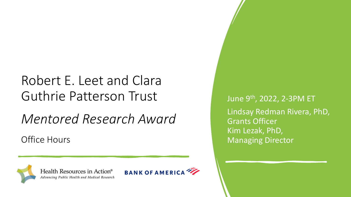### Robert E. Leet and Clara Guthrie Patterson Trust

### *Mentored Research Award*

Office Hours





June 9th, 2022, 2-3PM ET Lindsay Redman Rivera, PhD, Grants Officer Kim Lezak, PhD, Managing Director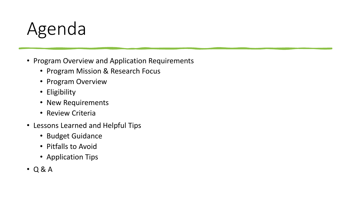# Agenda

- Program Overview and Application Requirements
	- Program Mission & Research Focus
	- Program Overview
	- Eligibility
	- New Requirements
	- Review Criteria
- Lessons Learned and Helpful Tips
	- Budget Guidance
	- Pitfalls to Avoid
	- Application Tips
- Q & A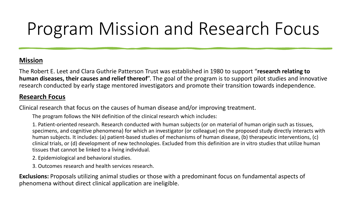# Program Mission and Research Focus

#### **Mission**

The Robert E. Leet and Clara Guthrie Patterson Trust was established in 1980 to support "**research relating to human diseases, their causes and relief thereof**". The goal of the program is to support pilot studies and innovative research conducted by early stage mentored investigators and promote their transition towards independence.

#### **Research Focus**

Clinical research that focus on the causes of human disease and/or improving treatment.

The program follows the NIH definition of the clinical research which includes:

1. Patient-oriented research. Research conducted with human subjects (or on material of human origin such as tissues, specimens, and cognitive phenomena) for which an investigator (or colleague) on the proposed study directly interacts with human subjects. It includes: (a) patient-based studies of mechanisms of human disease, (b) therapeutic interventions, (c) clinical trials, or (d) development of new technologies. Excluded from this definition are in vitro studies that utilize human tissues that cannot be linked to a living individual.

2. Epidemiological and behavioral studies.

3. Outcomes research and health services research.

**Exclusions:** Proposals utilizing animal studies or those with a predominant focus on fundamental aspects of phenomena without direct clinical application are ineligible.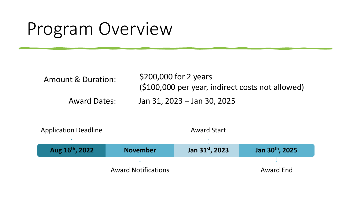## Program Overview

| <b>Amount &amp; Duration:</b> | \$200,000 for 2 years<br>(\$100,000 per year, indirect costs not allowed) |  |  |  |  |
|-------------------------------|---------------------------------------------------------------------------|--|--|--|--|
| <b>Award Dates:</b>           | Jan 31, 2023 – Jan 30, 2025                                               |  |  |  |  |

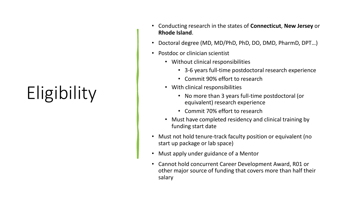# Eligibility

- Conducting research in the states of **Connecticut**, **New Jersey** or **Rhode Island**.
- Doctoral degree (MD, MD/PhD, PhD, DO, DMD, PharmD, DPT…)
- Postdoc or clinician scientist
	- Without clinical responsibilities
		- 3-6 years full-time postdoctoral research experience
		- Commit 90% effort to research
	- With clinical responsibilities
		- No more than 3 years full-time postdoctoral (or equivalent) research experience
		- Commit 70% effort to research
	- Must have completed residency and clinical training by funding start date
- Must not hold tenure-track faculty position or equivalent (no start up package or lab space)
- Must apply under guidance of a Mentor
- Cannot hold concurrent Career Development Award, R01 or other major source of funding that covers more than half their salary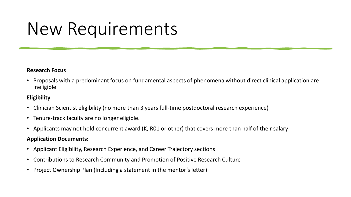## New Requirements

#### **Research Focus**

• Proposals with a predominant focus on fundamental aspects of phenomena without direct clinical application are ineligible

#### **Eligibility**

- Clinician Scientist eligibility (no more than 3 years full-time postdoctoral research experience)
- Tenure-track faculty are no longer eligible.
- Applicants may not hold concurrent award (K, R01 or other) that covers more than half of their salary

#### **Application Documents:**

- Applicant Eligibility, Research Experience, and Career Trajectory sections
- Contributions to Research Community and Promotion of Positive Research Culture
- Project Ownership Plan (Including a statement in the mentor's letter)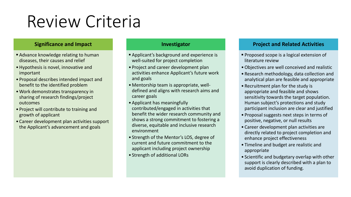### Review Criteria

#### **Significance and Impact**

- **Advance knowledge relating to human** diseases, their causes and relief
- •Hypothesis is novel, innovative and important
- Proposal describes intended impact and benefit to the identified problem
- •Work demonstrates transparency in sharing of research findings/project outcomes
- Project will contribute to training and growth of applicant
- Career development plan activities support the Applicant's advancement and goals

#### **Investigator**

- **Applicant's background and experience is** well-suited for project completion
- Project and career development plan activities enhance Applicant's future work and goals
- Mentorship team is appropriate, welldefined and aligns with research aims and career goals
- •Applicant has meaningfully contributed/engaged in activities that benefit the wider research community and shows a strong commitment to fostering a diverse, equitable and inclusive research environment
- Strength of the Mentor's LOS, degree of current and future commitment to the applicant including project ownership
- Strength of additional LORs

#### **Project and Related Activities**

- **Proposed scope is a logical extension of** literature review
- •Objectives are well conceived and realistic
- Research methodology, data collection and analytical plan are feasible and appropriate
- Recruitment plan for the study is appropriate and feasible and shows sensitivity towards the target population. Human subject's protections and study participant inclusion are clear and justified
- Proposal suggests next steps in terms of positive, negative, or null results
- Career development plan activities are directly related to project completion and enhance project effectiveness
- Timeline and budget are realistic and appropriate
- Scientific and budgetary overlap with other support is clearly described with a plan to avoid duplication of funding.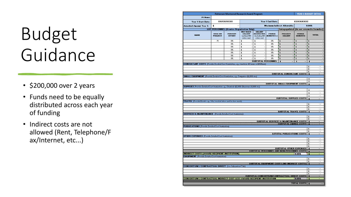# Budget Guidance

- \$200,000 over 2 years
- Funds need to be equally distributed across each year of funding
- Indirect costs are not allowed (Rent, Telephone/F ax/Internet, etc...)

|                                                                                                                                                                                                                                                                                                                                                                                                                                            |                                  |                                                   | Patterson Mentored Research Award Program                        |                                                                     |                                    |                                                                              |                                                                | YEAR 1 BUDGET DETAIL         |                             |  |
|--------------------------------------------------------------------------------------------------------------------------------------------------------------------------------------------------------------------------------------------------------------------------------------------------------------------------------------------------------------------------------------------------------------------------------------------|----------------------------------|---------------------------------------------------|------------------------------------------------------------------|---------------------------------------------------------------------|------------------------------------|------------------------------------------------------------------------------|----------------------------------------------------------------|------------------------------|-----------------------------|--|
| PI Name:                                                                                                                                                                                                                                                                                                                                                                                                                                   |                                  |                                                   |                                                                  |                                                                     |                                    |                                                                              |                                                                |                              |                             |  |
| Year 1 Start Date:                                                                                                                                                                                                                                                                                                                                                                                                                         |                                  | XXIXXIXXXX                                        |                                                                  | Year 1 End Date:                                                    |                                    |                                                                              |                                                                | XXIXXIXXXX                   |                             |  |
| Awarded Amount Year 1:                                                                                                                                                                                                                                                                                                                                                                                                                     | 1                                |                                                   | <b>Mazinun Indirect Allowable:</b>                               |                                                                     |                                    |                                                                              | 0.002                                                          |                              |                             |  |
|                                                                                                                                                                                                                                                                                                                                                                                                                                            |                                  | <b>LIST PERSONNEL (Grantee Organization Only)</b> |                                                                  |                                                                     |                                    | Autopopulated (do not overwrite formulas)                                    |                                                                |                              |                             |  |
| <b>HAME</b>                                                                                                                                                                                                                                                                                                                                                                                                                                | <b>ROLE ON</b><br><b>PROJECT</b> | <b>PERCENT</b><br><b>EFFORT</b>                   | <b>INST BASE</b><br><b>SALART</b><br>(uithout NIH<br>ralary cap) | <b>SALART</b><br><b>REQUESTED</b><br>(including NIH)<br>zalary cap) | <b>FRIMGE</b><br><b>BEHEFITS x</b> | <b>PROJECT</b><br><b>SALART</b>                                              | <b>FRIMGE</b><br><b>BEMEFITS</b>                               |                              | <b>TOTAL</b>                |  |
|                                                                                                                                                                                                                                                                                                                                                                                                                                            | PI                               | 0%                                                | \$                                                               | \$                                                                  | 0%                                 | \$<br>$\blacksquare$                                                         | $\ddagger$<br>$\overline{a}$                                   | $\ddot{\mathbf{r}}$          |                             |  |
|                                                                                                                                                                                                                                                                                                                                                                                                                                            |                                  | 0%                                                | \$                                                               | \$<br>÷                                                             | 0%                                 | $\ddot{\phantom{0}}$<br>$\overline{a}$                                       | \$                                                             | ٠,                           |                             |  |
|                                                                                                                                                                                                                                                                                                                                                                                                                                            |                                  | 0%                                                | \$                                                               | \$<br>J.                                                            | 0%                                 | $\ddot{\bm{x}}$<br>÷                                                         | \$<br>$\overline{\phantom{a}}$                                 | 4                            |                             |  |
|                                                                                                                                                                                                                                                                                                                                                                                                                                            |                                  | 0%<br>0%                                          | \$<br>$\ddot{\phantom{1}}$                                       | \$<br>ł,<br>\$<br>÷                                                 | 0%<br>0%                           | ţ.<br>$\ddagger$<br>$\blacksquare$                                           | $\ddagger$<br>$\ddot{\phantom{1}}$<br>$\overline{\phantom{a}}$ | ٠,<br>$\ddot{\mathbf{r}}$    |                             |  |
|                                                                                                                                                                                                                                                                                                                                                                                                                                            |                                  | 0%                                                | \$                                                               | \$                                                                  | 0%                                 | $\ddot{\phantom{1}}$                                                         | $\ddagger$                                                     | ٠,                           |                             |  |
|                                                                                                                                                                                                                                                                                                                                                                                                                                            |                                  | 0%                                                | \$                                                               | \$                                                                  | 0%                                 | ٠,<br>$\overline{\phantom{a}}$                                               | $\ddot{\mathbf{r}}$<br>$\overline{\phantom{a}}$                | <b>t</b>                     |                             |  |
|                                                                                                                                                                                                                                                                                                                                                                                                                                            |                                  |                                                   |                                                                  | <b>SUBTOTAL PERSONNEL</b>                                           |                                    | $\mathbf{r}$<br>$\overline{a}$                                               | $\mathbf t$<br>$\overline{\phantom{a}}$                        | $\ddot{\phantom{a}}$         |                             |  |
| CONSULTANT COSTS (Provide Detailed Cost Itemization, e.g., translator 40 hours at \$80/hour):                                                                                                                                                                                                                                                                                                                                              |                                  |                                                   |                                                                  |                                                                     |                                    |                                                                              |                                                                |                              |                             |  |
|                                                                                                                                                                                                                                                                                                                                                                                                                                            |                                  |                                                   |                                                                  |                                                                     |                                    |                                                                              |                                                                | \$                           |                             |  |
|                                                                                                                                                                                                                                                                                                                                                                                                                                            |                                  |                                                   |                                                                  |                                                                     |                                    |                                                                              |                                                                | \$<br>\$                     |                             |  |
|                                                                                                                                                                                                                                                                                                                                                                                                                                            |                                  |                                                   |                                                                  |                                                                     |                                    | <b>SUBTOTAL CONSULTANT COSTS \$</b>                                          |                                                                |                              | $\overline{a}$              |  |
| SMALL EQUIPMENT (Provide Detailed Cost Itemization, e.g., Computers \$2,000 etc):                                                                                                                                                                                                                                                                                                                                                          |                                  |                                                   |                                                                  |                                                                     |                                    |                                                                              |                                                                |                              |                             |  |
|                                                                                                                                                                                                                                                                                                                                                                                                                                            |                                  |                                                   |                                                                  |                                                                     |                                    |                                                                              |                                                                | \$<br>\$                     |                             |  |
|                                                                                                                                                                                                                                                                                                                                                                                                                                            |                                  |                                                   |                                                                  |                                                                     |                                    | SUBTOTAL SMALL EQUIPMENT COSTS                                               |                                                                | $\bullet$                    |                             |  |
| SUPPLIES (Provide Detailed Cost Itemization e.g., Chemicals \$2,000; Glassware \$1,000 etc):                                                                                                                                                                                                                                                                                                                                               |                                  |                                                   |                                                                  |                                                                     |                                    |                                                                              |                                                                |                              |                             |  |
|                                                                                                                                                                                                                                                                                                                                                                                                                                            |                                  |                                                   |                                                                  |                                                                     |                                    |                                                                              |                                                                | \$                           |                             |  |
|                                                                                                                                                                                                                                                                                                                                                                                                                                            |                                  |                                                   |                                                                  |                                                                     |                                    |                                                                              |                                                                |                              |                             |  |
|                                                                                                                                                                                                                                                                                                                                                                                                                                            |                                  |                                                   |                                                                  |                                                                     |                                    |                                                                              |                                                                | \$                           |                             |  |
|                                                                                                                                                                                                                                                                                                                                                                                                                                            |                                  |                                                   |                                                                  |                                                                     |                                    |                                                                              |                                                                | \$                           |                             |  |
|                                                                                                                                                                                                                                                                                                                                                                                                                                            |                                  |                                                   |                                                                  |                                                                     |                                    | <b>SUBTOTAL SUPPLIES COSTS</b>                                               |                                                                | t                            |                             |  |
|                                                                                                                                                                                                                                                                                                                                                                                                                                            |                                  |                                                   |                                                                  |                                                                     |                                    |                                                                              |                                                                |                              |                             |  |
|                                                                                                                                                                                                                                                                                                                                                                                                                                            |                                  |                                                   |                                                                  |                                                                     |                                    |                                                                              |                                                                | 1                            |                             |  |
|                                                                                                                                                                                                                                                                                                                                                                                                                                            |                                  |                                                   |                                                                  |                                                                     |                                    |                                                                              |                                                                | \$<br>\$                     |                             |  |
|                                                                                                                                                                                                                                                                                                                                                                                                                                            |                                  |                                                   |                                                                  |                                                                     |                                    | <b>SUBTOTAL TRAYEL COSTS</b>                                                 |                                                                | $\overline{\mathbf{1}}$      |                             |  |
|                                                                                                                                                                                                                                                                                                                                                                                                                                            |                                  |                                                   |                                                                  |                                                                     |                                    |                                                                              |                                                                |                              |                             |  |
|                                                                                                                                                                                                                                                                                                                                                                                                                                            |                                  |                                                   |                                                                  |                                                                     |                                    |                                                                              |                                                                | \$<br>\$                     |                             |  |
|                                                                                                                                                                                                                                                                                                                                                                                                                                            |                                  |                                                   |                                                                  |                                                                     |                                    | <b>SUBTOTAL SERVICES &amp; MAINTENANCE COSTS</b>                             |                                                                | $\mathbf{r}$                 |                             |  |
|                                                                                                                                                                                                                                                                                                                                                                                                                                            |                                  |                                                   |                                                                  |                                                                     |                                    |                                                                              |                                                                |                              |                             |  |
|                                                                                                                                                                                                                                                                                                                                                                                                                                            |                                  |                                                   |                                                                  |                                                                     |                                    |                                                                              |                                                                |                              |                             |  |
|                                                                                                                                                                                                                                                                                                                                                                                                                                            |                                  |                                                   |                                                                  |                                                                     |                                    |                                                                              |                                                                | \$<br>\$                     |                             |  |
|                                                                                                                                                                                                                                                                                                                                                                                                                                            |                                  |                                                   |                                                                  |                                                                     |                                    | <b>SUTOTAL PUBLICATIONS COSTS</b>                                            |                                                                |                              |                             |  |
|                                                                                                                                                                                                                                                                                                                                                                                                                                            |                                  |                                                   |                                                                  |                                                                     |                                    |                                                                              |                                                                |                              |                             |  |
|                                                                                                                                                                                                                                                                                                                                                                                                                                            |                                  |                                                   |                                                                  |                                                                     |                                    |                                                                              |                                                                | \$<br>\$                     |                             |  |
|                                                                                                                                                                                                                                                                                                                                                                                                                                            |                                  |                                                   |                                                                  |                                                                     |                                    |                                                                              |                                                                | t                            |                             |  |
|                                                                                                                                                                                                                                                                                                                                                                                                                                            |                                  |                                                   |                                                                  |                                                                     |                                    |                                                                              |                                                                | \$                           |                             |  |
|                                                                                                                                                                                                                                                                                                                                                                                                                                            |                                  |                                                   |                                                                  |                                                                     |                                    | <b>SUBTOTAL OTHER EXPENSES</b><br>SUBTOTAL PERSONNEL AND NON-PERSONNEL COSTS |                                                                | $\mathbf{r}$<br><b>R</b>     |                             |  |
|                                                                                                                                                                                                                                                                                                                                                                                                                                            |                                  |                                                   |                                                                  |                                                                     |                                    |                                                                              | 0.002                                                          | -3                           |                             |  |
|                                                                                                                                                                                                                                                                                                                                                                                                                                            |                                  |                                                   |                                                                  |                                                                     |                                    |                                                                              |                                                                |                              |                             |  |
|                                                                                                                                                                                                                                                                                                                                                                                                                                            |                                  |                                                   |                                                                  |                                                                     |                                    |                                                                              |                                                                | \$                           |                             |  |
|                                                                                                                                                                                                                                                                                                                                                                                                                                            |                                  |                                                   |                                                                  |                                                                     |                                    |                                                                              |                                                                | 1<br>$\overline{\mathbf{r}}$ |                             |  |
|                                                                                                                                                                                                                                                                                                                                                                                                                                            |                                  |                                                   |                                                                  |                                                                     |                                    | SUBTOTAL EQUIPMENT COSTS (NO INDIRECT COSTS)                                 |                                                                |                              |                             |  |
|                                                                                                                                                                                                                                                                                                                                                                                                                                            |                                  |                                                   |                                                                  |                                                                     |                                    |                                                                              |                                                                | \$                           |                             |  |
| TRAVEL (Provide Details e.g., Who traveled where and for how much):<br><b>SERVICES &amp; MAINTENANCE</b> (Provide Detailed Cost Itemization):<br>PUBLICATIONS (Provide Detailed Cost Itemization):<br><b>OTHER EXPENSES</b> (Provide Detailed Cost Itemization):<br><b>INDIRECT COSTS (AVARD RECIPIENT INSTITUTION)</b><br><b>EQUIPMENT</b> (Provide Detailed Cost Itemization):<br>CONSORTIUM / CONTRACTUAL DIRECT (Use Subcontract Tab): |                                  |                                                   |                                                                  |                                                                     |                                    |                                                                              |                                                                | \$                           | $\overline{a}$<br>開開開<br>L. |  |
|                                                                                                                                                                                                                                                                                                                                                                                                                                            |                                  |                                                   |                                                                  |                                                                     |                                    | SUBTOTAL CONSORTIUM/CONTRACTUAL DIRECT COSTS                                 |                                                                | \$<br>$\mathbf{r}$           |                             |  |
| CONSORTIUM / CONTRACTUAL INDIRECT COST LESS AVARD RECIPIENT INSTITUTION                                                                                                                                                                                                                                                                                                                                                                    |                                  |                                                   |                                                                  |                                                                     |                                    |                                                                              | 0.002                                                          | - 2                          | ٠<br>٠                      |  |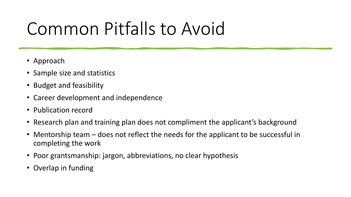# Common Pitfalls to Avoid

- Approach
- Sample size and statistics
- Budget and feasibility
- Career development and independence
- Publication record
- Research plan and training plan does not compliment the applicant's background
- Mentorship team does not reflect the needs for the applicant to be successful in completing the work
- Poor grantsmanship: jargon, abbreviations, no clear hypothesis
- Overlap in funding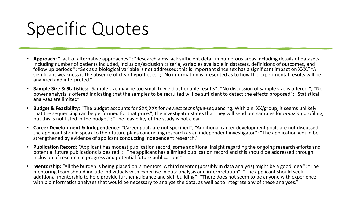## Specific Quotes

- **Approach:** "Lack of alternative approaches."; "Research aims lack sufficient detail in numerous areas including details of datasets including number of patients included, inclusion/exclusion criteria, variables available in datasets, definitions of outcomes, and follow up periods."; "Sex as a biological variable is not addressed; this is important since sex has a significant impact on XXX." "A significant weakness is the absence of clear hypotheses."; "No information is presented as to how the experimental results will be analyzed and interpreted."
- **Sample Size & Statistics:** "Sample size may be too small to yield actionable results"; "No discussion of sample size is offered "; "No power analysis is offered indicating that the samples to be recruited will be sufficient to detect the effects proposed"; "Statistical analyses are limited".
- **Budget & Feasibility:** "The budget accounts for \$XX,XXX for *newest technique*-sequencing. With a n=XX/group, it seems unlikely that the sequencing can be performed for that price."; the investigator states that they will send out samples for *amazing* profiling, but this is not listed in the budget"; "The feasibility of the study is not clear."
- **Career Development & Independence:** "Career goals are not specified"; "Additional career development goals are not discussed; the applicant should speak to their future plans conducting research as an independent investigator"; "The application would be strengthened by evidence of applicant conducting independent research."
- **Publication Record:** "Applicant has modest publication record, some additional insight regarding the ongoing research efforts and potential future publications is desired"; "The applicant has a limited publication record and this should be addressed through inclusion of research in progress and potential future publications."
- **Mentorship:** "All the burden is being placed on 2 mentors. A third mentor (possibly in data analysis) might be a good idea."; "The mentoring team should include individuals with expertise in data analysis and interpretation"; "The applicant should seek additional mentorship to help provide further guidance and skill building"; "There does not seem to be anyone with experience with bioinformatics analyses that would be necessary to analyze the data, as well as to integrate any of these analyses."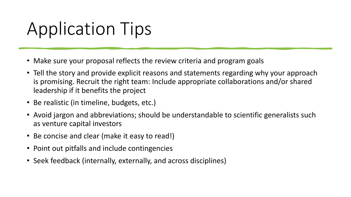# Application Tips

- Make sure your proposal reflects the review criteria and program goals
- Tell the story and provide explicit reasons and statements regarding why your approach is promising. Recruit the right team: Include appropriate collaborations and/or shared leadership if it benefits the project
- Be realistic (in timeline, budgets, etc.)
- Avoid jargon and abbreviations; should be understandable to scientific generalists such as venture capital investors
- Be concise and clear (make it easy to read!)
- Point out pitfalls and include contingencies
- Seek feedback (internally, externally, and across disciplines)